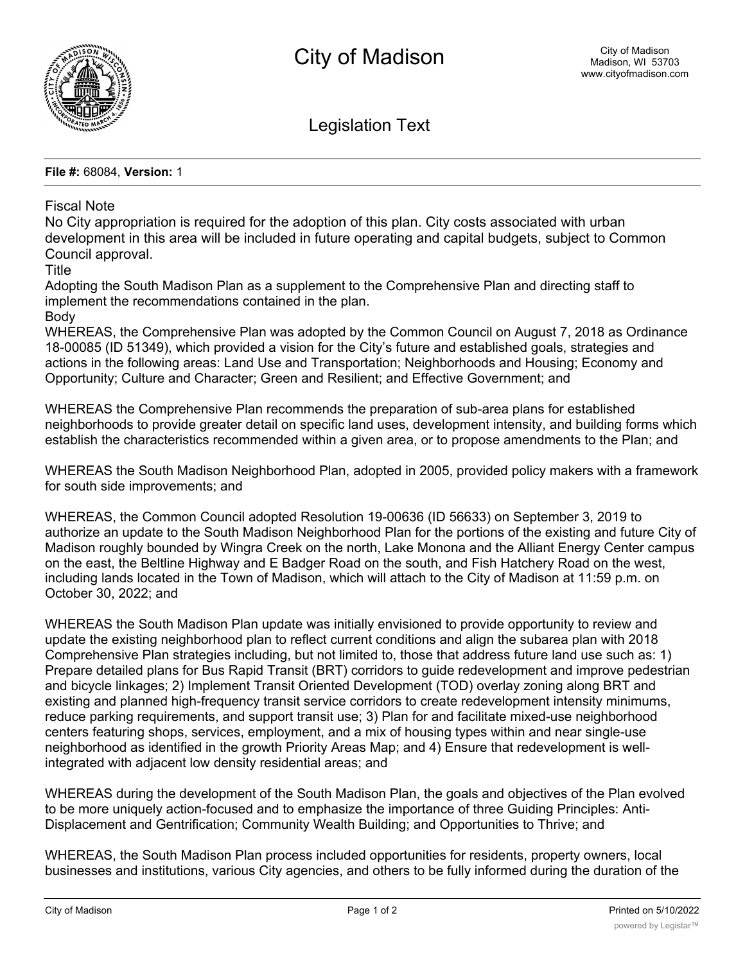

Legislation Text

**File #:** 68084, **Version:** 1

## Fiscal Note

No City appropriation is required for the adoption of this plan. City costs associated with urban development in this area will be included in future operating and capital budgets, subject to Common Council approval.

Title

Adopting the South Madison Plan as a supplement to the Comprehensive Plan and directing staff to implement the recommendations contained in the plan.

Body

WHEREAS, the Comprehensive Plan was adopted by the Common Council on August 7, 2018 as Ordinance 18-00085 (ID 51349), which provided a vision for the City's future and established goals, strategies and actions in the following areas: Land Use and Transportation; Neighborhoods and Housing; Economy and Opportunity; Culture and Character; Green and Resilient; and Effective Government; and

WHEREAS the Comprehensive Plan recommends the preparation of sub-area plans for established neighborhoods to provide greater detail on specific land uses, development intensity, and building forms which establish the characteristics recommended within a given area, or to propose amendments to the Plan; and

WHEREAS the South Madison Neighborhood Plan, adopted in 2005, provided policy makers with a framework for south side improvements; and

WHEREAS, the Common Council adopted Resolution 19-00636 (ID 56633) on September 3, 2019 to authorize an update to the South Madison Neighborhood Plan for the portions of the existing and future City of Madison roughly bounded by Wingra Creek on the north, Lake Monona and the Alliant Energy Center campus on the east, the Beltline Highway and E Badger Road on the south, and Fish Hatchery Road on the west, including lands located in the Town of Madison, which will attach to the City of Madison at 11:59 p.m. on October 30, 2022; and

WHEREAS the South Madison Plan update was initially envisioned to provide opportunity to review and update the existing neighborhood plan to reflect current conditions and align the subarea plan with 2018 Comprehensive Plan strategies including, but not limited to, those that address future land use such as: 1) Prepare detailed plans for Bus Rapid Transit (BRT) corridors to guide redevelopment and improve pedestrian and bicycle linkages; 2) Implement Transit Oriented Development (TOD) overlay zoning along BRT and existing and planned high-frequency transit service corridors to create redevelopment intensity minimums, reduce parking requirements, and support transit use; 3) Plan for and facilitate mixed-use neighborhood centers featuring shops, services, employment, and a mix of housing types within and near single-use neighborhood as identified in the growth Priority Areas Map; and 4) Ensure that redevelopment is wellintegrated with adjacent low density residential areas; and

WHEREAS during the development of the South Madison Plan, the goals and objectives of the Plan evolved to be more uniquely action-focused and to emphasize the importance of three Guiding Principles: Anti-Displacement and Gentrification; Community Wealth Building; and Opportunities to Thrive; and

WHEREAS, the South Madison Plan process included opportunities for residents, property owners, local businesses and institutions, various City agencies, and others to be fully informed during the duration of the